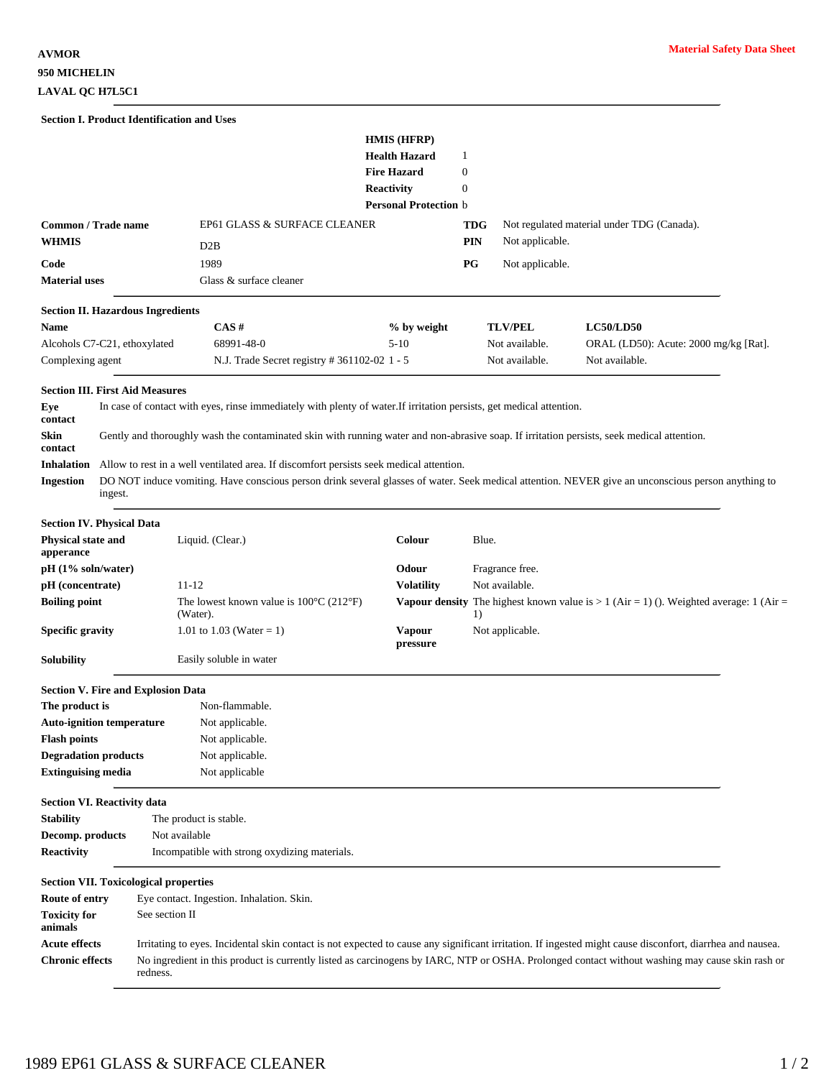|                                 |                                                                                                                      | <b>Section I. Product Identification and Uses</b>                                                                                                         |                                                                                                                |                                   |                 |                                                                                          |  |
|---------------------------------|----------------------------------------------------------------------------------------------------------------------|-----------------------------------------------------------------------------------------------------------------------------------------------------------|----------------------------------------------------------------------------------------------------------------|-----------------------------------|-----------------|------------------------------------------------------------------------------------------|--|
|                                 |                                                                                                                      |                                                                                                                                                           | HMIS (HFRP)<br><b>Health Hazard</b><br><b>Fire Hazard</b><br><b>Reactivity</b><br><b>Personal Protection</b> b | 1<br>$\mathbf{0}$<br>$\mathbf{0}$ |                 |                                                                                          |  |
| Common / Trade name             |                                                                                                                      | EP61 GLASS & SURFACE CLEANER                                                                                                                              |                                                                                                                | TDG                               |                 | Not regulated material under TDG (Canada).                                               |  |
| <b>WHMIS</b>                    |                                                                                                                      | D2B                                                                                                                                                       |                                                                                                                | PIN                               | Not applicable. |                                                                                          |  |
| Code                            |                                                                                                                      | 1989                                                                                                                                                      |                                                                                                                | РG                                | Not applicable. |                                                                                          |  |
| <b>Material uses</b>            |                                                                                                                      | Glass & surface cleaner                                                                                                                                   |                                                                                                                |                                   |                 |                                                                                          |  |
|                                 | <b>Section II. Hazardous Ingredients</b>                                                                             |                                                                                                                                                           |                                                                                                                |                                   |                 |                                                                                          |  |
| Name                            |                                                                                                                      | CAS#                                                                                                                                                      | % by weight                                                                                                    |                                   | <b>TLV/PEL</b>  | <b>LC50/LD50</b>                                                                         |  |
|                                 | Alcohols C7-C21, ethoxylated                                                                                         | 68991-48-0                                                                                                                                                | $5-10$                                                                                                         |                                   | Not available.  | ORAL (LD50): Acute: 2000 mg/kg [Rat].                                                    |  |
| Complexing agent                |                                                                                                                      | N.J. Trade Secret registry # 361102-02 1 - 5                                                                                                              |                                                                                                                |                                   | Not available.  | Not available.                                                                           |  |
|                                 | <b>Section III. First Aid Measures</b>                                                                               |                                                                                                                                                           |                                                                                                                |                                   |                 |                                                                                          |  |
| Eye<br>contact                  | In case of contact with eyes, rinse immediately with plenty of water. If irritation persists, get medical attention. |                                                                                                                                                           |                                                                                                                |                                   |                 |                                                                                          |  |
| Skin<br>contact                 |                                                                                                                      | Gently and thoroughly wash the contaminated skin with running water and non-abrasive soap. If irritation persists, seek medical attention.                |                                                                                                                |                                   |                 |                                                                                          |  |
| <b>Inhalation</b>               |                                                                                                                      | Allow to rest in a well ventilated area. If discomfort persists seek medical attention.                                                                   |                                                                                                                |                                   |                 |                                                                                          |  |
| <b>Ingestion</b>                | ingest.                                                                                                              | DO NOT induce vomiting. Have conscious person drink several glasses of water. Seek medical attention. NEVER give an unconscious person anything to        |                                                                                                                |                                   |                 |                                                                                          |  |
|                                 | <b>Section IV. Physical Data</b>                                                                                     |                                                                                                                                                           |                                                                                                                |                                   |                 |                                                                                          |  |
| Physical state and<br>apperance |                                                                                                                      | Liquid. (Clear.)                                                                                                                                          | Colour                                                                                                         | Blue.                             |                 |                                                                                          |  |
| pH (1% soln/water)              |                                                                                                                      |                                                                                                                                                           | Odour                                                                                                          |                                   | Fragrance free. |                                                                                          |  |
| pH (concentrate)                |                                                                                                                      | 11-12                                                                                                                                                     | <b>Volatility</b>                                                                                              |                                   | Not available.  |                                                                                          |  |
| <b>Boiling point</b>            |                                                                                                                      | The lowest known value is $100^{\circ}$ C (212 $^{\circ}$ F)<br>(Water).                                                                                  |                                                                                                                | 1)                                |                 | Vapour density The highest known value is $> 1$ (Air = 1) (). Weighted average: 1 (Air = |  |
| <b>Specific gravity</b>         |                                                                                                                      | 1.01 to 1.03 (Water = 1)                                                                                                                                  | <b>Vapour</b><br>pressure                                                                                      |                                   | Not applicable. |                                                                                          |  |
| Solubility                      |                                                                                                                      | Easily soluble in water                                                                                                                                   |                                                                                                                |                                   |                 |                                                                                          |  |
|                                 | <b>Section V. Fire and Explosion Data</b>                                                                            |                                                                                                                                                           |                                                                                                                |                                   |                 |                                                                                          |  |
| The product is                  |                                                                                                                      | Non-flammable.                                                                                                                                            |                                                                                                                |                                   |                 |                                                                                          |  |
|                                 | <b>Auto-ignition temperature</b>                                                                                     | Not applicable.                                                                                                                                           |                                                                                                                |                                   |                 |                                                                                          |  |
| <b>Flash points</b>             |                                                                                                                      | Not applicable.                                                                                                                                           |                                                                                                                |                                   |                 |                                                                                          |  |
| <b>Degradation products</b>     |                                                                                                                      | Not applicable.                                                                                                                                           |                                                                                                                |                                   |                 |                                                                                          |  |
| <b>Extinguising media</b>       |                                                                                                                      | Not applicable                                                                                                                                            |                                                                                                                |                                   |                 |                                                                                          |  |
|                                 | <b>Section VI. Reactivity data</b>                                                                                   |                                                                                                                                                           |                                                                                                                |                                   |                 |                                                                                          |  |
| <b>Stability</b>                |                                                                                                                      | The product is stable.                                                                                                                                    |                                                                                                                |                                   |                 |                                                                                          |  |
| Decomp. products                |                                                                                                                      | Not available                                                                                                                                             |                                                                                                                |                                   |                 |                                                                                          |  |
| <b>Reactivity</b>               |                                                                                                                      | Incompatible with strong oxydizing materials.                                                                                                             |                                                                                                                |                                   |                 |                                                                                          |  |
|                                 | <b>Section VII. Toxicological properties</b>                                                                         |                                                                                                                                                           |                                                                                                                |                                   |                 |                                                                                          |  |
| Route of entry                  |                                                                                                                      | Eye contact. Ingestion. Inhalation. Skin.                                                                                                                 |                                                                                                                |                                   |                 |                                                                                          |  |
| <b>Toxicity for</b><br>animals  |                                                                                                                      | See section II                                                                                                                                            |                                                                                                                |                                   |                 |                                                                                          |  |
| <b>Acute effects</b>            |                                                                                                                      | Irritating to eyes. Incidental skin contact is not expected to cause any significant irritation. If ingested might cause disconfort, diarrhea and nausea. |                                                                                                                |                                   |                 |                                                                                          |  |
| <b>Chronic effects</b>          | redness.                                                                                                             | No ingredient in this product is currently listed as carcinogens by IARC, NTP or OSHA. Prolonged contact without washing may cause skin rash or           |                                                                                                                |                                   |                 |                                                                                          |  |